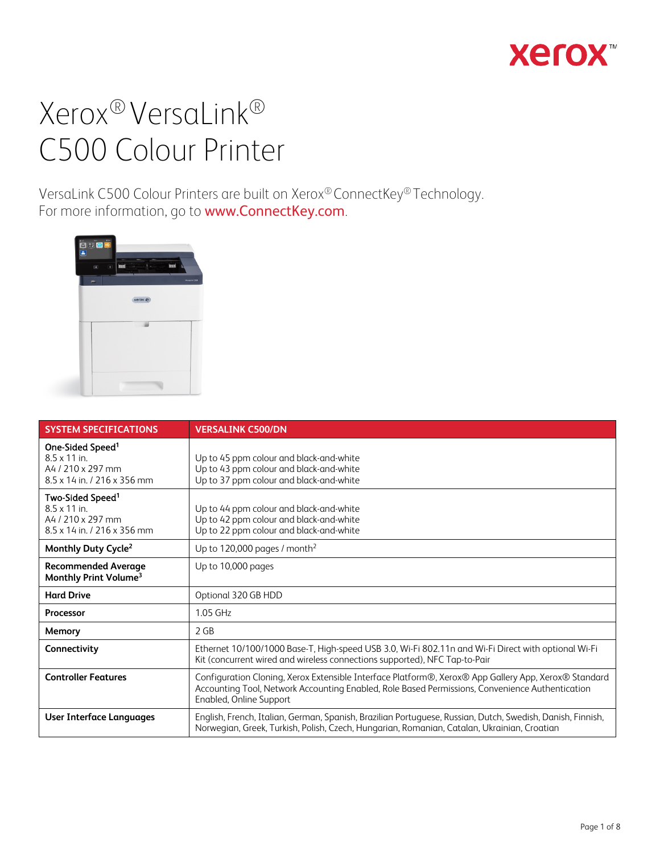

VersaLink C500 Colour Printers are built on Xerox® ConnectKey® Technology. For more information, go to **www.ConnectKey.com**.



| <b>SYSTEM SPECIFICATIONS</b>                                                                           | <b>VERSALINK C500/DN</b>                                                                                                                                                                                                           |  |
|--------------------------------------------------------------------------------------------------------|------------------------------------------------------------------------------------------------------------------------------------------------------------------------------------------------------------------------------------|--|
| One-Sided Speed <sup>1</sup><br>$8.5 \times 11$ in.<br>A4 / 210 x 297 mm<br>8.5 x 14 in / 216 x 356 mm | Up to 45 ppm colour and black-and-white<br>Up to 43 ppm colour and black-and-white<br>Up to 37 ppm colour and black-and-white                                                                                                      |  |
| Two-Sided Speed <sup>1</sup><br>$8.5 \times 11$ in.<br>A4 / 210 x 297 mm<br>8.5 x 14 in / 216 x 356 mm | Up to 44 ppm colour and black-and-white<br>Up to 42 ppm colour and black-and-white<br>Up to 22 ppm colour and black-and-white                                                                                                      |  |
| Monthly Duty Cycle <sup>2</sup>                                                                        | Up to 120,000 pages / month <sup>2</sup>                                                                                                                                                                                           |  |
| <b>Recommended Average</b><br>Monthly Print Volume <sup>3</sup>                                        | Up to 10,000 pages                                                                                                                                                                                                                 |  |
| <b>Hard Drive</b>                                                                                      | Optional 320 GB HDD                                                                                                                                                                                                                |  |
| <b>Processor</b>                                                                                       | 1.05 GHz                                                                                                                                                                                                                           |  |
| Memory                                                                                                 | 2 GB                                                                                                                                                                                                                               |  |
| Connectivity                                                                                           | Ethernet 10/100/1000 Base-T, High-speed USB 3.0, Wi-Fi 802.11n and Wi-Fi Direct with optional Wi-Fi<br>Kit (concurrent wired and wireless connections supported), NFC Tap-to-Pair                                                  |  |
| <b>Controller Features</b>                                                                             | Configuration Cloning, Xerox Extensible Interface Platform®, Xerox® App Gallery App, Xerox® Standard<br>Accounting Tool, Network Accounting Enabled, Role Based Permissions, Convenience Authentication<br>Enabled, Online Support |  |
| User Interface Languages                                                                               | English, French, Italian, German, Spanish, Brazilian Portuguese, Russian, Dutch, Swedish, Danish, Finnish,<br>Norwegian, Greek, Turkish, Polish, Czech, Hungarian, Romanian, Catalan, Ukrainian, Croatian                          |  |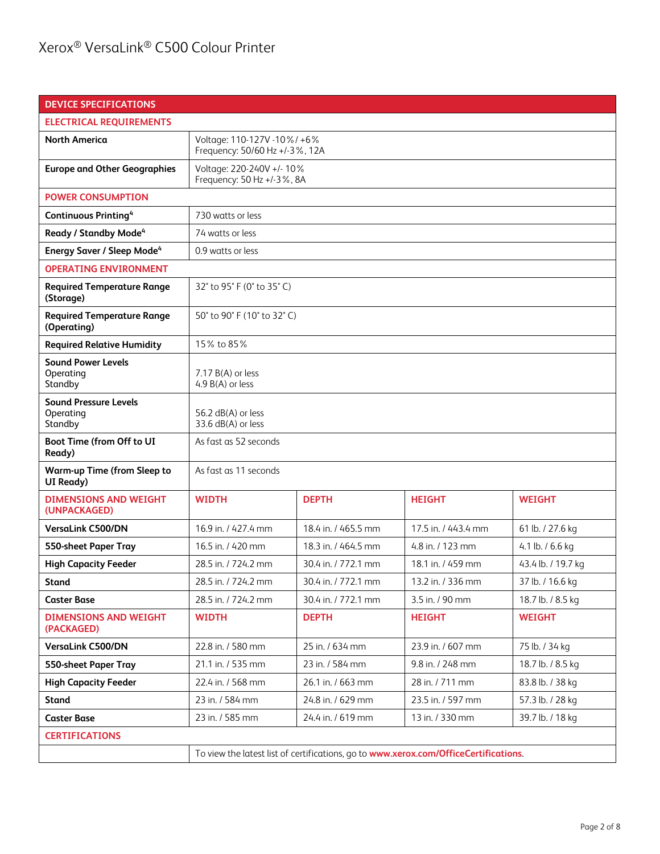| <b>DEVICE SPECIFICATIONS</b>                         |                                                                                      |                     |                     |                    |
|------------------------------------------------------|--------------------------------------------------------------------------------------|---------------------|---------------------|--------------------|
| <b>ELECTRICAL REQUIREMENTS</b>                       |                                                                                      |                     |                     |                    |
| <b>North America</b>                                 | Voltage: 110-127V -10%/ +6%<br>Frequency: 50/60 Hz +/-3%, 12A                        |                     |                     |                    |
| <b>Europe and Other Geographies</b>                  | Voltage: 220-240V +/- 10%<br>Frequency: 50 Hz +/-3%, 8A                              |                     |                     |                    |
| <b>POWER CONSUMPTION</b>                             |                                                                                      |                     |                     |                    |
| <b>Continuous Printing4</b>                          | 730 watts or less                                                                    |                     |                     |                    |
| Ready / Standby Mode <sup>4</sup>                    | 74 watts or less                                                                     |                     |                     |                    |
| <b>Energy Saver / Sleep Mode<sup>4</sup></b>         | 0.9 watts or less                                                                    |                     |                     |                    |
| <b>OPERATING ENVIRONMENT</b>                         |                                                                                      |                     |                     |                    |
| <b>Required Temperature Range</b><br>(Storage)       | 32° to 95° F (0° to 35° C)                                                           |                     |                     |                    |
| <b>Required Temperature Range</b><br>(Operating)     | 50° to 90° F (10° to 32° C)                                                          |                     |                     |                    |
| <b>Required Relative Humidity</b>                    | 15% to 85%                                                                           |                     |                     |                    |
| <b>Sound Power Levels</b><br>Operating<br>Standby    | 7.17 B(A) or less<br>4.9 B(A) or less                                                |                     |                     |                    |
| <b>Sound Pressure Levels</b><br>Operating<br>Standby | 56.2 dB(A) or less<br>33.6 dB(A) or less                                             |                     |                     |                    |
| Boot Time (from Off to UI<br>Ready)                  | As fast as 52 seconds                                                                |                     |                     |                    |
| <b>Warm-up Time (from Sleep to</b><br>UI Ready)      | As fast as 11 seconds                                                                |                     |                     |                    |
| <b>DIMENSIONS AND WEIGHT</b><br>(UNPACKAGED)         | <b>WIDTH</b>                                                                         | <b>DEPTH</b>        | <b>HEIGHT</b>       | <b>WEIGHT</b>      |
| <b>VersaLink C500/DN</b>                             | 16.9 in. / 427.4 mm                                                                  | 18.4 in. / 465.5 mm | 17.5 in. / 443.4 mm | 61 lb. / 27.6 kg   |
| 550-sheet Paper Tray                                 | 16.5 in. / 420 mm                                                                    | 18.3 in. / 464.5 mm | 4.8 in. / 123 mm    | 4.1 lb. $/$ 6.6 kg |
| <b>High Capacity Feeder</b>                          | 28.5 in. / 724.2 mm                                                                  | 30.4 in. / 772.1 mm | 18.1 in. / 459 mm   | 43.4 lb. / 19.7 kg |
| <b>Stand</b>                                         | 28.5 in. / 724.2 mm                                                                  | 30.4 in. / 772.1 mm | 13.2 in. / 336 mm   | 37 lb. / 16.6 kg   |
| <b>Caster Base</b>                                   | 28.5 in. / 724.2 mm                                                                  | 30.4 in. / 772.1 mm | 3.5 in. / 90 mm     | 18.7 lb. / 8.5 kg  |
| <b>DIMENSIONS AND WEIGHT</b><br>(PACKAGED)           | <b>WIDTH</b>                                                                         | <b>DEPTH</b>        | <b>HEIGHT</b>       | <b>WEIGHT</b>      |
| <b>VersaLink C500/DN</b>                             | 22.8 in. / 580 mm                                                                    | 25 in. / 634 mm     | 23.9 in. / 607 mm   | 75 lb. / 34 kg     |
| 550-sheet Paper Tray                                 | 21.1 in. / 535 mm                                                                    | 23 in. / 584 mm     | 9.8 in. / 248 mm    | 18.7 lb. / 8.5 kg  |
| <b>High Capacity Feeder</b>                          | 22.4 in. / 568 mm<br>26.1 in. / 663 mm<br>28 in. / 711 mm<br>83.8 lb. / 38 kg        |                     |                     |                    |
| Stand                                                | 23 in. / 584 mm                                                                      | 24.8 in. / 629 mm   | 23.5 in. / 597 mm   | 57.3 lb. / 28 kg   |
| <b>Caster Base</b>                                   | 23 in. / 585 mm<br>24.4 in. / 619 mm<br>13 in. / 330 mm<br>39.7 lb. / 18 kg          |                     |                     |                    |
| <b>CERTIFICATIONS</b>                                |                                                                                      |                     |                     |                    |
|                                                      | To view the latest list of certifications, go to www.xerox.com/OfficeCertifications. |                     |                     |                    |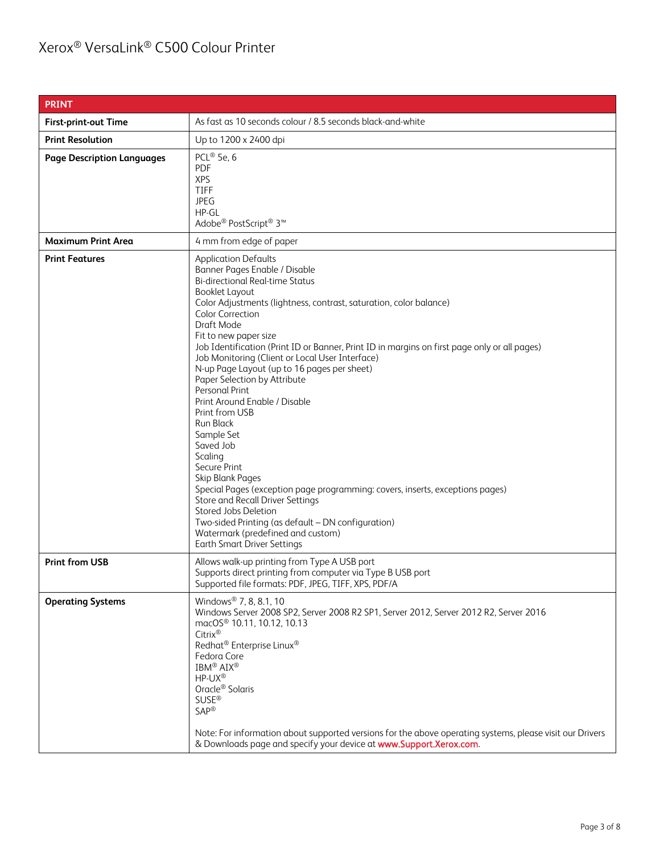| <b>PRINT</b>                      |                                                                                                                                                                                                                                                                                                                                                                                                                                                                                                                                                                                                                                                                                                                                                                                                                                                                                                                                                                   |  |
|-----------------------------------|-------------------------------------------------------------------------------------------------------------------------------------------------------------------------------------------------------------------------------------------------------------------------------------------------------------------------------------------------------------------------------------------------------------------------------------------------------------------------------------------------------------------------------------------------------------------------------------------------------------------------------------------------------------------------------------------------------------------------------------------------------------------------------------------------------------------------------------------------------------------------------------------------------------------------------------------------------------------|--|
|                                   |                                                                                                                                                                                                                                                                                                                                                                                                                                                                                                                                                                                                                                                                                                                                                                                                                                                                                                                                                                   |  |
| <b>First-print-out Time</b>       | As fast as 10 seconds colour / 8.5 seconds black-and-white                                                                                                                                                                                                                                                                                                                                                                                                                                                                                                                                                                                                                                                                                                                                                                                                                                                                                                        |  |
| <b>Print Resolution</b>           | Up to 1200 x 2400 dpi                                                                                                                                                                                                                                                                                                                                                                                                                                                                                                                                                                                                                                                                                                                                                                                                                                                                                                                                             |  |
| <b>Page Description Languages</b> | PCL® 5e, 6<br><b>PDF</b><br><b>XPS</b><br>TIFF<br><b>JPEG</b><br>HP-GL<br>Adobe <sup>®</sup> PostScript <sup>®</sup> 3 <sup>™</sup>                                                                                                                                                                                                                                                                                                                                                                                                                                                                                                                                                                                                                                                                                                                                                                                                                               |  |
| <b>Maximum Print Area</b>         | 4 mm from edge of paper                                                                                                                                                                                                                                                                                                                                                                                                                                                                                                                                                                                                                                                                                                                                                                                                                                                                                                                                           |  |
| <b>Print Features</b>             | <b>Application Defaults</b><br>Banner Pages Enable / Disable<br><b>Bi-directional Real-time Status</b><br><b>Booklet Layout</b><br>Color Adjustments (lightness, contrast, saturation, color balance)<br><b>Color Correction</b><br>Draft Mode<br>Fit to new paper size<br>Job Identification (Print ID or Banner, Print ID in margins on first page only or all pages)<br>Job Monitoring (Client or Local User Interface)<br>N-up Page Layout (up to 16 pages per sheet)<br>Paper Selection by Attribute<br>Personal Print<br>Print Around Enable / Disable<br>Print from USB<br><b>Run Black</b><br>Sample Set<br>Saved Job<br>Scaling<br>Secure Print<br>Skip Blank Pages<br>Special Pages (exception page programming: covers, inserts, exceptions pages)<br><b>Store and Recall Driver Settings</b><br>Stored Jobs Deletion<br>Two-sided Printing (as default - DN configuration)<br>Watermark (predefined and custom)<br><b>Earth Smart Driver Settings</b> |  |
| <b>Print from USB</b>             | Allows walk-up printing from Type A USB port<br>Supports direct printing from computer via Type B USB port<br>Supported file formats: PDF, JPEG, TIFF, XPS, PDF/A                                                                                                                                                                                                                                                                                                                                                                                                                                                                                                                                                                                                                                                                                                                                                                                                 |  |
| <b>Operating Systems</b>          | Windows <sup>®</sup> 7, 8, 8.1, 10<br>Windows Server 2008 SP2, Server 2008 R2 SP1, Server 2012, Server 2012 R2, Server 2016<br>macOS <sup>®</sup> 10.11, 10.12, 10.13<br>Citrix®<br>Redhat <sup>®</sup> Enterprise Linux <sup>®</sup><br>Fedora Core<br>IBM <sup>®</sup> AIX <sup>®</sup><br>HP-UX®<br>Oracle <sup>®</sup> Solaris<br><b>SUSE®</b><br><b>SAP®</b><br>Note: For information about supported versions for the above operating systems, please visit our Drivers<br>& Downloads page and specify your device at www.Support.Xerox.com.                                                                                                                                                                                                                                                                                                                                                                                                               |  |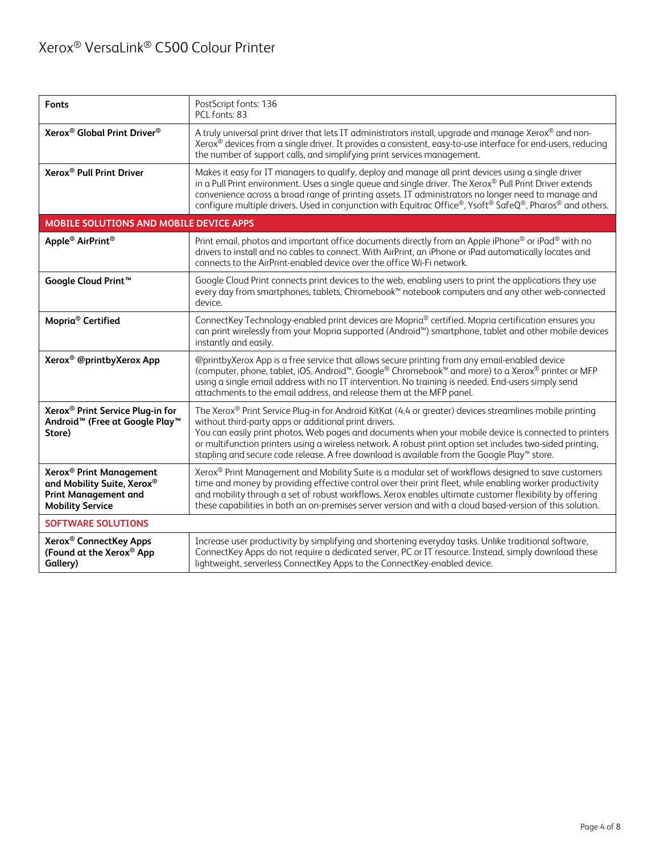| <b>Fonts</b>                                                                                                                | PostScript fonts: 136<br>PCL fonts: 83                                                                                                                                                                                                                                                                                                                                                                                                                                                  |  |
|-----------------------------------------------------------------------------------------------------------------------------|-----------------------------------------------------------------------------------------------------------------------------------------------------------------------------------------------------------------------------------------------------------------------------------------------------------------------------------------------------------------------------------------------------------------------------------------------------------------------------------------|--|
| Xerox <sup>®</sup> Global Print Driver <sup>®</sup>                                                                         | A truly universal print driver that lets IT administrators install, upgrade and manage Xerox® and non-<br>Xerox® devices from a single driver. It provides a consistent, easy-to-use interface for end-users, reducing<br>the number of support calls, and simplifying print services management.                                                                                                                                                                                       |  |
| Xerox <sup>®</sup> Pull Print Driver                                                                                        | Makes it easy for IT managers to qualify, deploy and manage all print devices using a single driver<br>in a Pull Print environment. Uses a single queue and single driver. The Xerox® Pull Print Driver extends<br>convenience across a broad range of printing assets. IT administrators no longer need to manage and<br>configure multiple drivers. Used in conjunction with Equitrac Office®, Ysoft® SafeQ®, Pharos® and others.                                                     |  |
| MOBILE SOLUTIONS AND MOBILE DEVICE APPS                                                                                     |                                                                                                                                                                                                                                                                                                                                                                                                                                                                                         |  |
| Apple <sup>®</sup> AirPrint <sup>®</sup>                                                                                    | Print email, photos and important office documents directly from an Apple iPhone® or iPad® with no<br>drivers to install and no cables to connect. With AirPrint, an iPhone or iPad automatically locates and<br>connects to the AirPrint-enabled device over the office Wi-Fi network.                                                                                                                                                                                                 |  |
| Google Cloud Print <sup>™</sup>                                                                                             | Google Cloud Print connects print devices to the web, enabling users to print the applications they use<br>every day from smartphones, tablets, Chromebook™ notebook computers and any other web-connected<br>device.                                                                                                                                                                                                                                                                   |  |
| Mopria <sup>®</sup> Certified                                                                                               | ConnectKey Technology-enabled print devices are Mopria <sup>®</sup> certified. Mopria certification ensures you<br>can print wirelessly from your Mopria supported (Android <sup>™</sup> ) smartphone, tablet and other mobile devices<br>instantly and easily.                                                                                                                                                                                                                         |  |
| Xerox <sup>®</sup> @printbyXerox App                                                                                        | @printbyXerox App is a free service that allows secure printing from any email-enabled device<br>(computer, phone, tablet, iOS, Android <sup>™</sup> , Google® Chromebook <sup>™</sup> and more) to a Xerox® printer or MFP<br>using a single email address with no IT intervention. No training is needed. End-users simply send<br>attachments to the email address, and release them at the MFP panel.                                                                               |  |
| Xerox <sup>®</sup> Print Service Plug-in for<br>Android <sup>™</sup> (Free at Google Play <sup>™</sup><br>Store)            | The Xerox® Print Service Plug-in for Android KitKat (4.4 or greater) devices streamlines mobile printing<br>without third-party apps or additional print drivers.<br>You can easily print photos, Web pages and documents when your mobile device is connected to printers<br>or multifunction printers using a wireless network. A robust print option set includes two-sided printing,<br>stapling and secure code release. A free download is available from the Google Play™ store. |  |
| Xerox <sup>®</sup> Print Management<br>and Mobility Suite, Xerox®<br><b>Print Management and</b><br><b>Mobility Service</b> | Xerox® Print Management and Mobility Suite is a modular set of workflows designed to save customers<br>time and money by providing effective control over their print fleet, while enabling worker productivity<br>and mobility through a set of robust workflows. Xerox enables ultimate customer flexibility by offering<br>these capabilities in both an on-premises server version and with a cloud based-version of this solution.                                                 |  |
| <b>SOFTWARE SOLUTIONS</b>                                                                                                   |                                                                                                                                                                                                                                                                                                                                                                                                                                                                                         |  |
| Xerox <sup>®</sup> ConnectKey Apps<br>(Found at the Xerox® App<br>Gallery)                                                  | Increase user productivity by simplifying and shortening everyday tasks. Unlike traditional software,<br>ConnectKey Apps do not require a dedicated server, PC or IT resource. Instead, simply download these<br>lightweight, serverless ConnectKey Apps to the ConnectKey-enabled device.                                                                                                                                                                                              |  |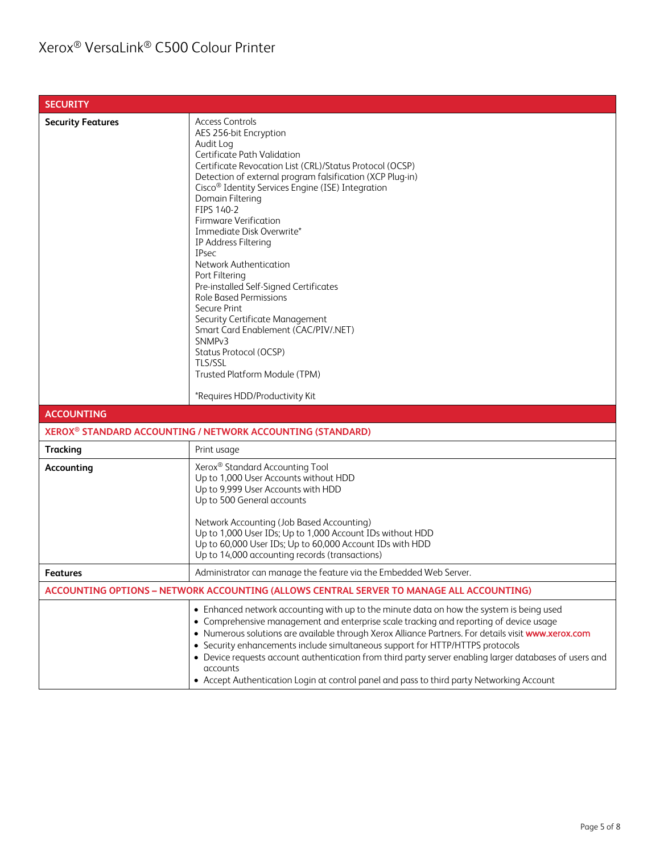| <b>SECURITY</b>          |                                                                                                                                                                                                                                                                                                                                                                                                                                                                                                                                                                                                                                                                                                                                                                                      |  |  |
|--------------------------|--------------------------------------------------------------------------------------------------------------------------------------------------------------------------------------------------------------------------------------------------------------------------------------------------------------------------------------------------------------------------------------------------------------------------------------------------------------------------------------------------------------------------------------------------------------------------------------------------------------------------------------------------------------------------------------------------------------------------------------------------------------------------------------|--|--|
| <b>Security Features</b> | <b>Access Controls</b><br>AES 256-bit Encryption<br>Audit Log<br>Certificate Path Validation<br>Certificate Revocation List (CRL)/Status Protocol (OCSP)<br>Detection of external program falsification (XCP Plug-in)<br>Cisco <sup>®</sup> Identity Services Engine (ISE) Integration<br>Domain Filtering<br>FIPS 140-2<br><b>Firmware Verification</b><br>Immediate Disk Overwrite*<br>IP Address Filtering<br><b>IPsec</b><br><b>Network Authentication</b><br>Port Filtering<br>Pre-installed Self-Signed Certificates<br><b>Role Based Permissions</b><br>Secure Print<br>Security Certificate Management<br>Smart Card Enablement (CAC/PIV/.NET)<br>SNMP <sub>v3</sub><br>Status Protocol (OCSP)<br>TLS/SSL<br>Trusted Platform Module (TPM)<br>*Requires HDD/Productivity Kit |  |  |
| <b>ACCOUNTING</b>        |                                                                                                                                                                                                                                                                                                                                                                                                                                                                                                                                                                                                                                                                                                                                                                                      |  |  |
|                          | XEROX <sup>®</sup> STANDARD ACCOUNTING / NETWORK ACCOUNTING (STANDARD)                                                                                                                                                                                                                                                                                                                                                                                                                                                                                                                                                                                                                                                                                                               |  |  |
| <b>Tracking</b>          | Print usage                                                                                                                                                                                                                                                                                                                                                                                                                                                                                                                                                                                                                                                                                                                                                                          |  |  |
| Accounting               | Xerox <sup>®</sup> Standard Accounting Tool<br>Up to 1,000 User Accounts without HDD<br>Up to 9,999 User Accounts with HDD<br>Up to 500 General accounts<br>Network Accounting (Job Based Accounting)<br>Up to 1,000 User IDs; Up to 1,000 Account IDs without HDD<br>Up to 60,000 User IDs; Up to 60,000 Account IDs with HDD<br>Up to 14,000 accounting records (transactions)                                                                                                                                                                                                                                                                                                                                                                                                     |  |  |
| Features                 | Administrator can manage the feature via the Embedded Web Server.                                                                                                                                                                                                                                                                                                                                                                                                                                                                                                                                                                                                                                                                                                                    |  |  |
|                          | ACCOUNTING OPTIONS - NETWORK ACCOUNTING (ALLOWS CENTRAL SERVER TO MANAGE ALL ACCOUNTING)                                                                                                                                                                                                                                                                                                                                                                                                                                                                                                                                                                                                                                                                                             |  |  |
|                          | • Enhanced network accounting with up to the minute data on how the system is being used<br>• Comprehensive management and enterprise scale tracking and reporting of device usage<br>. Numerous solutions are available through Xerox Alliance Partners. For details visit www.xerox.com<br>• Security enhancements include simultaneous support for HTTP/HTTPS protocols<br>• Device requests account authentication from third party server enabling larger databases of users and<br>accounts<br>• Accept Authentication Login at control panel and pass to third party Networking Account                                                                                                                                                                                       |  |  |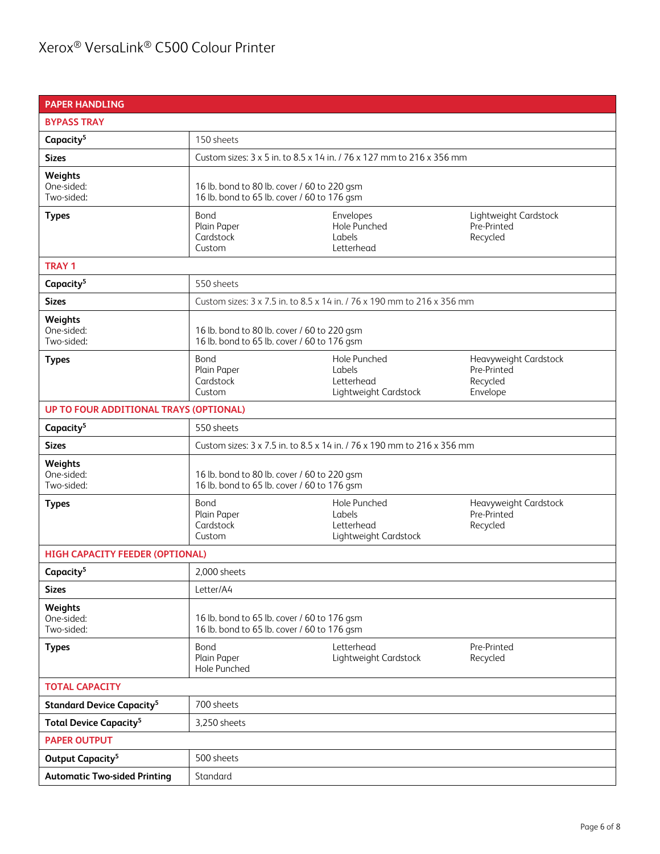| <b>PAPER HANDLING</b>                       |                                                                                            |                                                                         |                                                              |
|---------------------------------------------|--------------------------------------------------------------------------------------------|-------------------------------------------------------------------------|--------------------------------------------------------------|
| <b>BYPASS TRAY</b>                          |                                                                                            |                                                                         |                                                              |
| Capacity <sup>5</sup>                       | 150 sheets                                                                                 |                                                                         |                                                              |
| <b>Sizes</b>                                | Custom sizes: 3 x 5 in. to 8.5 x 14 in. / 76 x 127 mm to 216 x 356 mm                      |                                                                         |                                                              |
| Weights<br>One-sided:<br>Two-sided:         | 16 lb. bond to 80 lb. cover / 60 to 220 gsm<br>16 lb. bond to 65 lb. cover / 60 to 176 gsm |                                                                         |                                                              |
| <b>Types</b>                                | Bond<br>Plain Paper<br>Cardstock<br>Custom                                                 | Envelopes<br>Hole Punched<br>Labels<br>Letterhead                       | Lightweight Cardstock<br>Pre-Printed<br>Recycled             |
| <b>TRAY1</b>                                |                                                                                            |                                                                         |                                                              |
| Capacity <sup>5</sup>                       | 550 sheets                                                                                 |                                                                         |                                                              |
| <b>Sizes</b>                                |                                                                                            | Custom sizes: 3 x 7.5 in. to 8.5 x 14 in. / 76 x 190 mm to 216 x 356 mm |                                                              |
| Weights<br>One-sided:<br>Two-sided:         | 16 lb. bond to 80 lb. cover / 60 to 220 gsm<br>16 lb. bond to 65 lb. cover / 60 to 176 gsm |                                                                         |                                                              |
| <b>Types</b>                                | Bond<br>Plain Paper<br>Cardstock<br>Custom                                                 | Hole Punched<br>Labels<br>Letterhead<br>Lightweight Cardstock           | Heavyweight Cardstock<br>Pre-Printed<br>Recycled<br>Envelope |
| UP TO FOUR ADDITIONAL TRAYS (OPTIONAL)      |                                                                                            |                                                                         |                                                              |
| Capacity <sup>5</sup>                       | 550 sheets                                                                                 |                                                                         |                                                              |
| <b>Sizes</b>                                | Custom sizes: 3 x 7.5 in. to 8.5 x 14 in. / 76 x 190 mm to 216 x 356 mm                    |                                                                         |                                                              |
| Weights<br>One-sided:<br>Two-sided:         | 16 lb. bond to 80 lb. cover / 60 to 220 gsm<br>16 lb. bond to 65 lb. cover / 60 to 176 gsm |                                                                         |                                                              |
| <b>Types</b>                                | Bond<br>Plain Paper<br>Cardstock<br>Custom                                                 | Hole Punched<br>Labels<br>Letterhead<br>Lightweight Cardstock           | Heavyweight Cardstock<br>Pre-Printed<br>Recycled             |
| <b>HIGH CAPACITY FEEDER (OPTIONAL)</b>      |                                                                                            |                                                                         |                                                              |
| Capacity <sup>5</sup>                       | 2,000 sheets                                                                               |                                                                         |                                                              |
| <b>Sizes</b>                                | Letter/A4                                                                                  |                                                                         |                                                              |
| Weights<br>One-sided:<br>Two-sided:         | 16 lb. bond to 65 lb. cover / 60 to 176 gsm<br>16 lb. bond to 65 lb. cover / 60 to 176 gsm |                                                                         |                                                              |
| <b>Types</b>                                | Bond<br>Plain Paper<br>Hole Punched                                                        | Letterhead<br>Lightweight Cardstock                                     | Pre-Printed<br>Recycled                                      |
| <b>TOTAL CAPACITY</b>                       |                                                                                            |                                                                         |                                                              |
| <b>Standard Device Capacity<sup>5</sup></b> | 700 sheets                                                                                 |                                                                         |                                                              |
| <b>Total Device Capacity<sup>5</sup></b>    | 3,250 sheets                                                                               |                                                                         |                                                              |
| <b>PAPER OUTPUT</b>                         |                                                                                            |                                                                         |                                                              |
| Output Capacity <sup>5</sup>                | 500 sheets                                                                                 |                                                                         |                                                              |
| <b>Automatic Two-sided Printing</b>         | Standard                                                                                   |                                                                         |                                                              |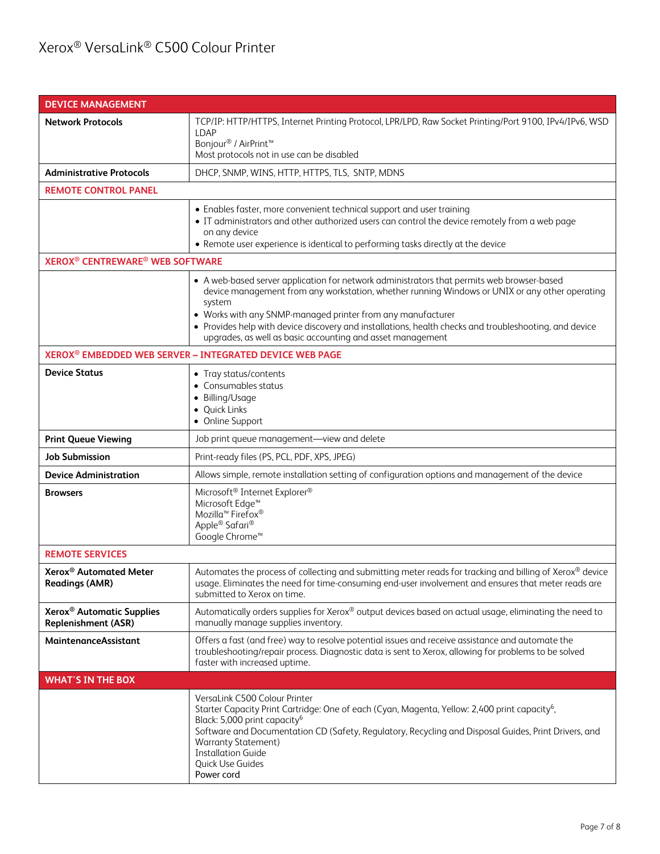| <b>DEVICE MANAGEMENT</b>                                            |                                                                                                                                                                                                                                                                                                                                                                                                                                               |  |  |
|---------------------------------------------------------------------|-----------------------------------------------------------------------------------------------------------------------------------------------------------------------------------------------------------------------------------------------------------------------------------------------------------------------------------------------------------------------------------------------------------------------------------------------|--|--|
| <b>Network Protocols</b>                                            | TCP/IP: HTTP/HTTPS, Internet Printing Protocol, LPR/LPD, Raw Socket Printing/Port 9100, IPv4/IPv6, WSD<br><b>LDAP</b><br>Bonjour <sup>®</sup> / AirPrint <sup>™</sup><br>Most protocols not in use can be disabled                                                                                                                                                                                                                            |  |  |
| <b>Administrative Protocols</b>                                     | DHCP, SNMP, WINS, HTTP, HTTPS, TLS, SNTP, MDNS                                                                                                                                                                                                                                                                                                                                                                                                |  |  |
| <b>REMOTE CONTROL PANEL</b>                                         |                                                                                                                                                                                                                                                                                                                                                                                                                                               |  |  |
|                                                                     | • Enables faster, more convenient technical support and user training<br>• IT administrators and other authorized users can control the device remotely from a web page<br>on any device<br>• Remote user experience is identical to performing tasks directly at the device                                                                                                                                                                  |  |  |
| <b>XEROX<sup>®</sup> CENTREWARE<sup>®</sup> WEB SOFTWARE</b>        |                                                                                                                                                                                                                                                                                                                                                                                                                                               |  |  |
|                                                                     | • A web-based server application for network administrators that permits web browser-based<br>device management from any workstation, whether running Windows or UNIX or any other operating<br>system<br>• Works with any SNMP-managed printer from any manufacturer<br>• Provides help with device discovery and installations, health checks and troubleshooting, and device<br>upgrades, as well as basic accounting and asset management |  |  |
|                                                                     | XEROX <sup>®</sup> EMBEDDED WEB SERVER - INTEGRATED DEVICE WEB PAGE                                                                                                                                                                                                                                                                                                                                                                           |  |  |
| <b>Device Status</b>                                                | • Tray status/contents<br>• Consumables status<br>• Billing/Usage<br>· Quick Links<br>• Online Support                                                                                                                                                                                                                                                                                                                                        |  |  |
| <b>Print Queue Viewing</b>                                          | Job print queue management-view and delete                                                                                                                                                                                                                                                                                                                                                                                                    |  |  |
| <b>Job Submission</b>                                               | Print-ready files (PS, PCL, PDF, XPS, JPEG)                                                                                                                                                                                                                                                                                                                                                                                                   |  |  |
| <b>Device Administration</b>                                        | Allows simple, remote installation setting of configuration options and management of the device                                                                                                                                                                                                                                                                                                                                              |  |  |
| <b>Browsers</b>                                                     | Microsoft <sup>®</sup> Internet Explorer®<br>Microsoft Edge <sup>™</sup><br>Mozilla <sup>™</sup> Firefox <sup>®</sup><br>Apple® Safari®<br>Google Chrome <sup>™</sup>                                                                                                                                                                                                                                                                         |  |  |
| <b>REMOTE SERVICES</b>                                              |                                                                                                                                                                                                                                                                                                                                                                                                                                               |  |  |
| Xerox <sup>®</sup> Automated Meter<br><b>Readings (AMR)</b>         | Automates the process of collecting and submitting meter reads for tracking and billing of Xerox® device<br>usage. Eliminates the need for time-consuming end-user involvement and ensures that meter reads are<br>submitted to Xerox on time.                                                                                                                                                                                                |  |  |
| Xerox <sup>®</sup> Automatic Supplies<br><b>Replenishment (ASR)</b> | Automatically orders supplies for Xerox® output devices based on actual usage, eliminating the need to<br>manually manage supplies inventory.                                                                                                                                                                                                                                                                                                 |  |  |
| MaintenanceAssistant                                                | Offers a fast (and free) way to resolve potential issues and receive assistance and automate the<br>troubleshooting/repair process. Diagnostic data is sent to Xerox, allowing for problems to be solved<br>faster with increased uptime.                                                                                                                                                                                                     |  |  |
| <b>WHAT'S IN THE BOX</b>                                            |                                                                                                                                                                                                                                                                                                                                                                                                                                               |  |  |
|                                                                     | VersaLink C500 Colour Printer<br>Starter Capacity Print Cartridge: One of each (Cyan, Magenta, Yellow: 2,400 print capacity <sup>6</sup> ,<br>Black: 5,000 print capacity <sup>6</sup><br>Software and Documentation CD (Safety, Regulatory, Recycling and Disposal Guides, Print Drivers, and<br><b>Warranty Statement)</b><br><b>Installation Guide</b><br>Quick Use Guides<br>Power cord                                                   |  |  |